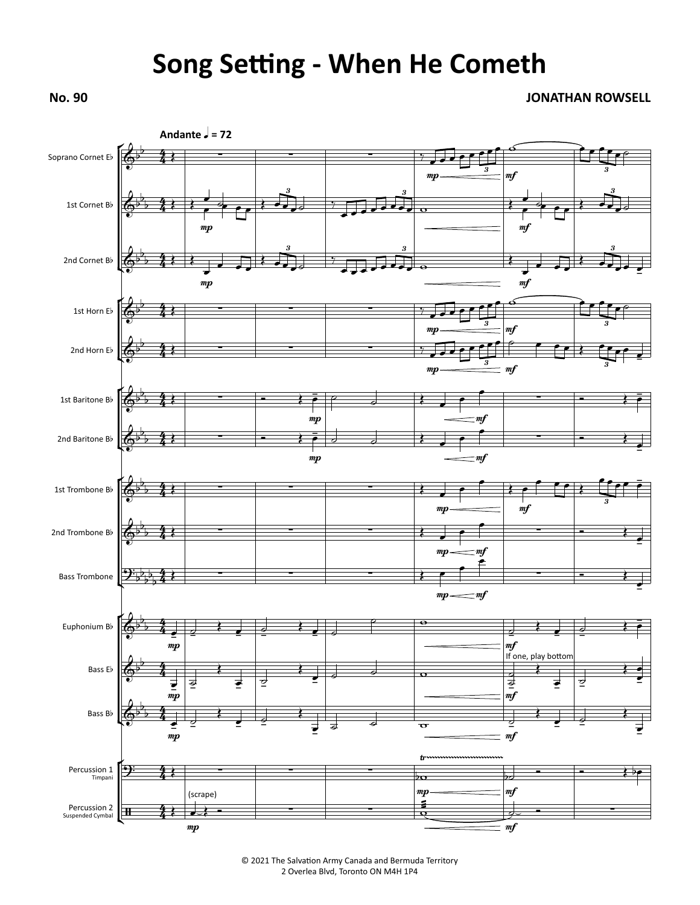## **Song Setting - When He Cometh**

**JONATHAN ROWSELL**



© 2021 The Salvation Army Canada and Bermuda Territory 2 Overlea Blvd, Toronto ON M4H 1P4

**No. 90**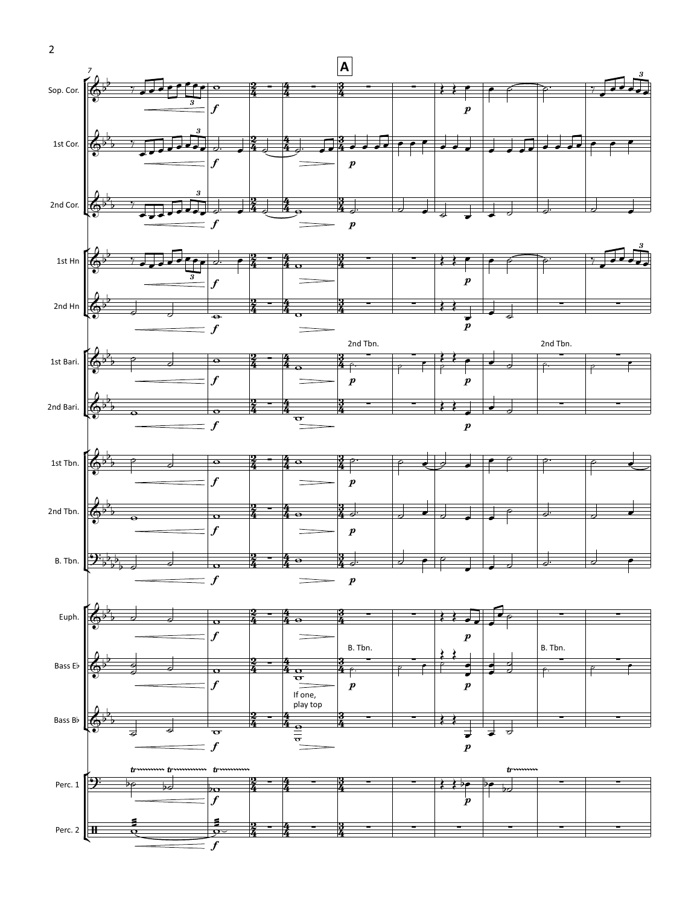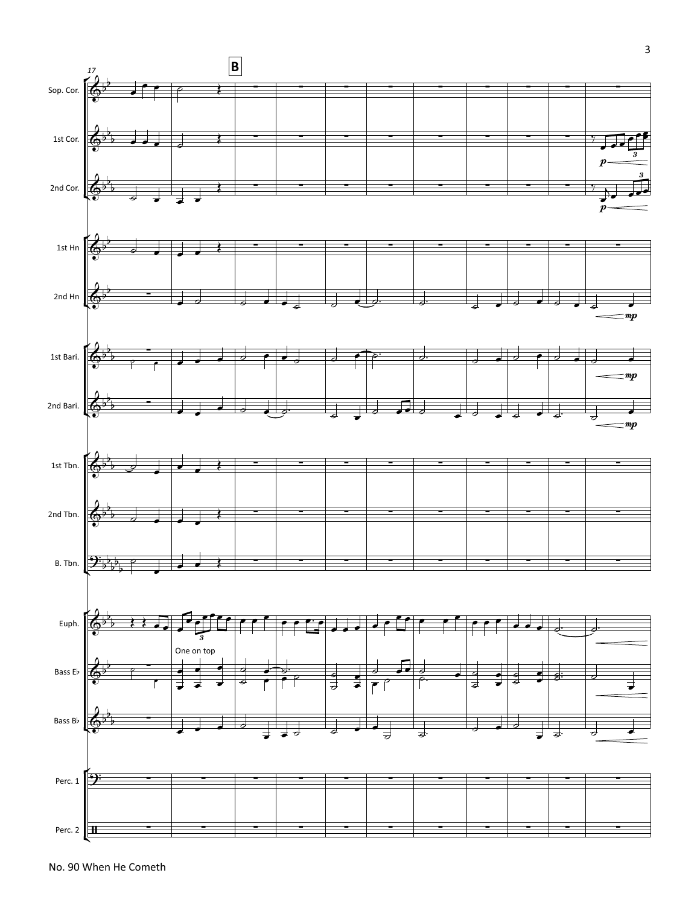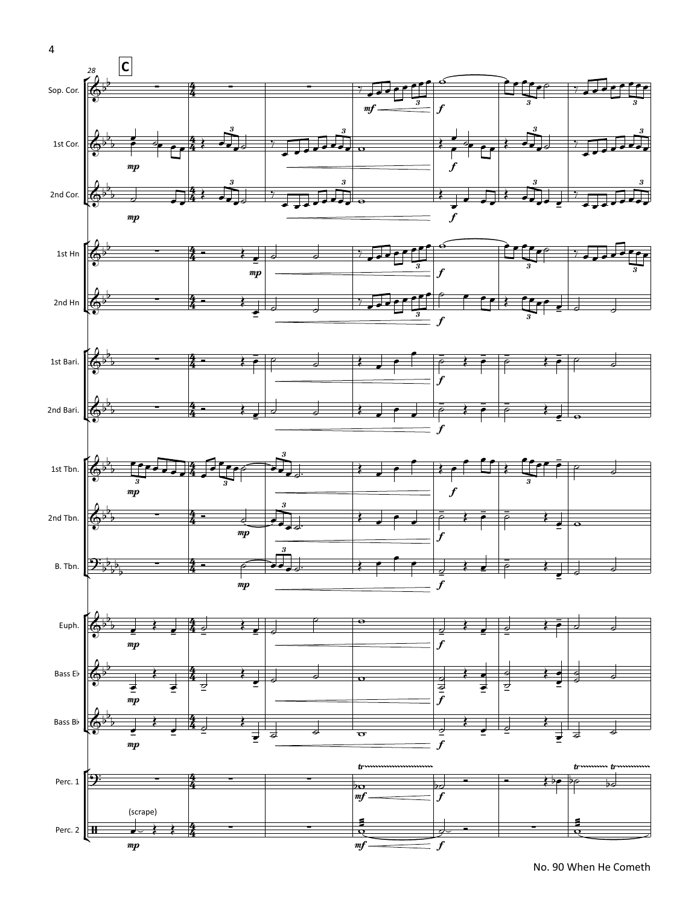

4

No. 90 When He Cometh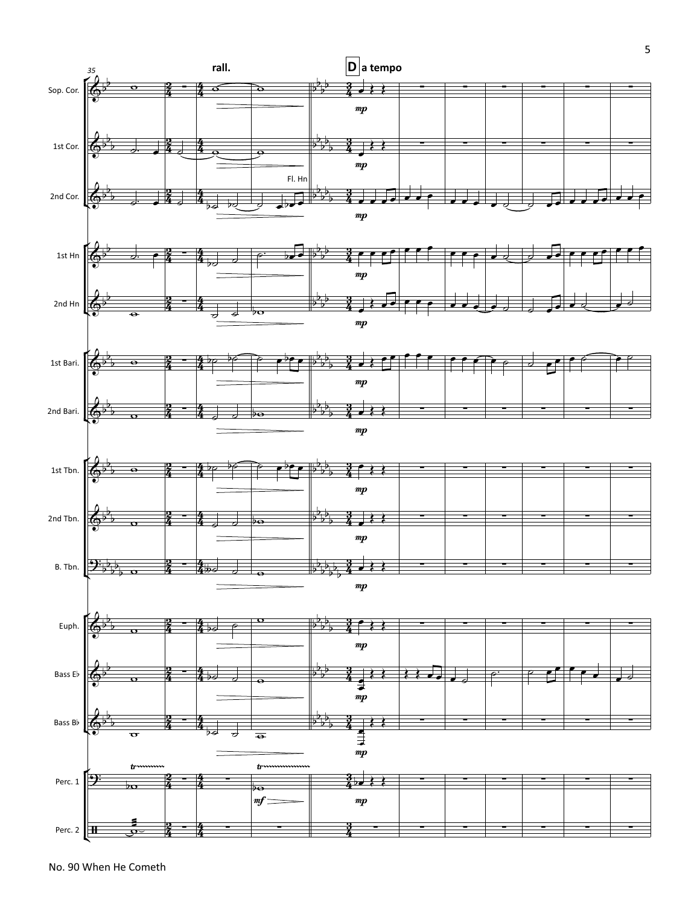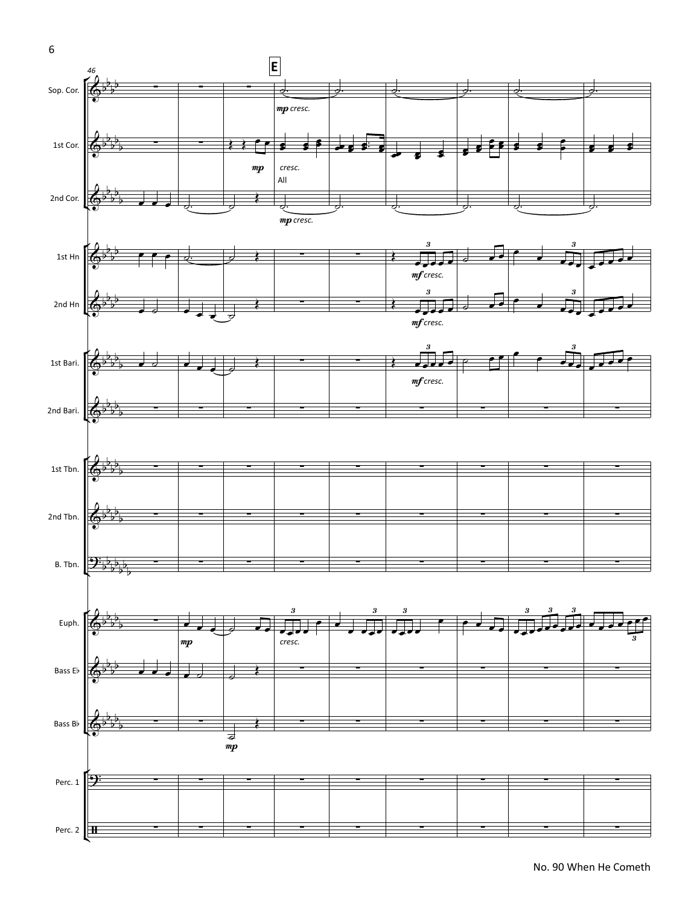

6

No. 90 When He Cometh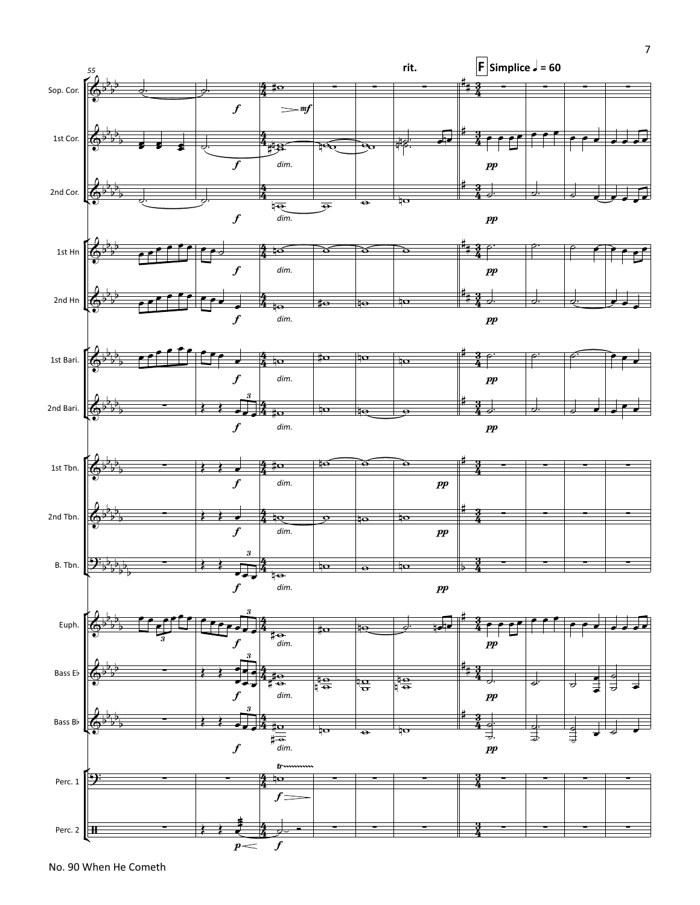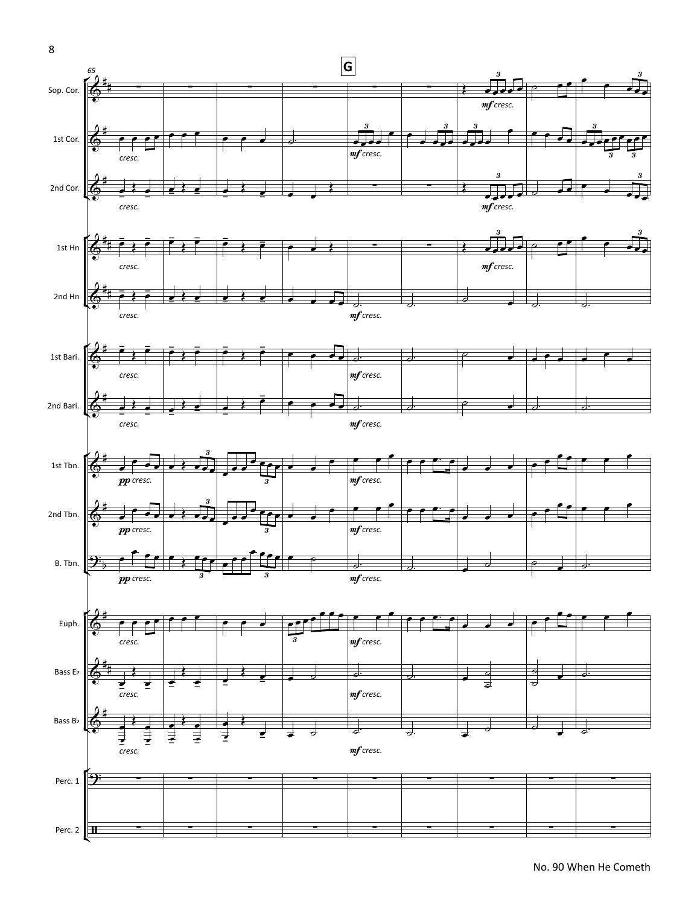

No. 90 When He Cometh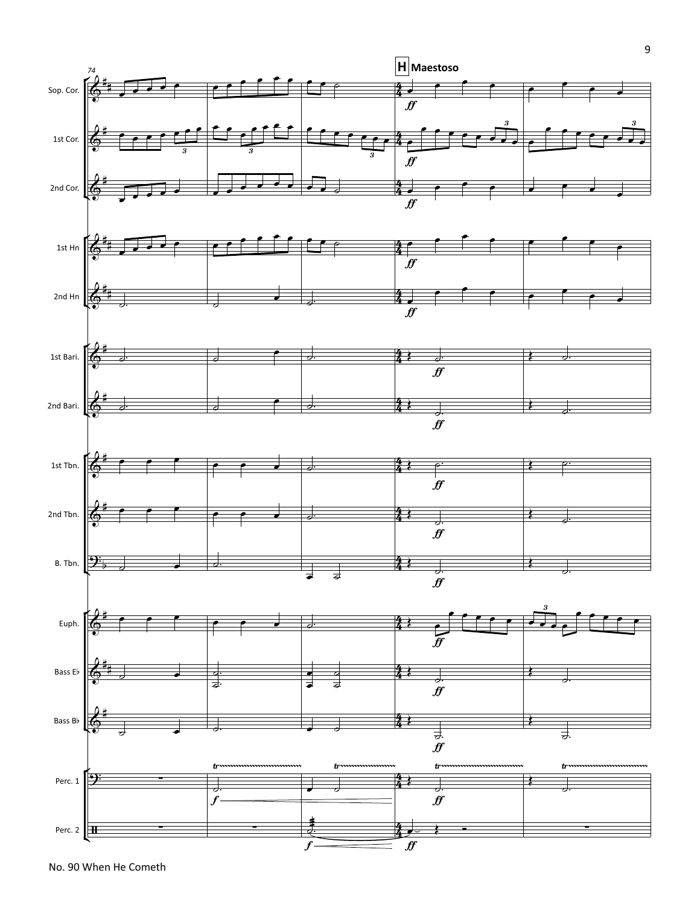